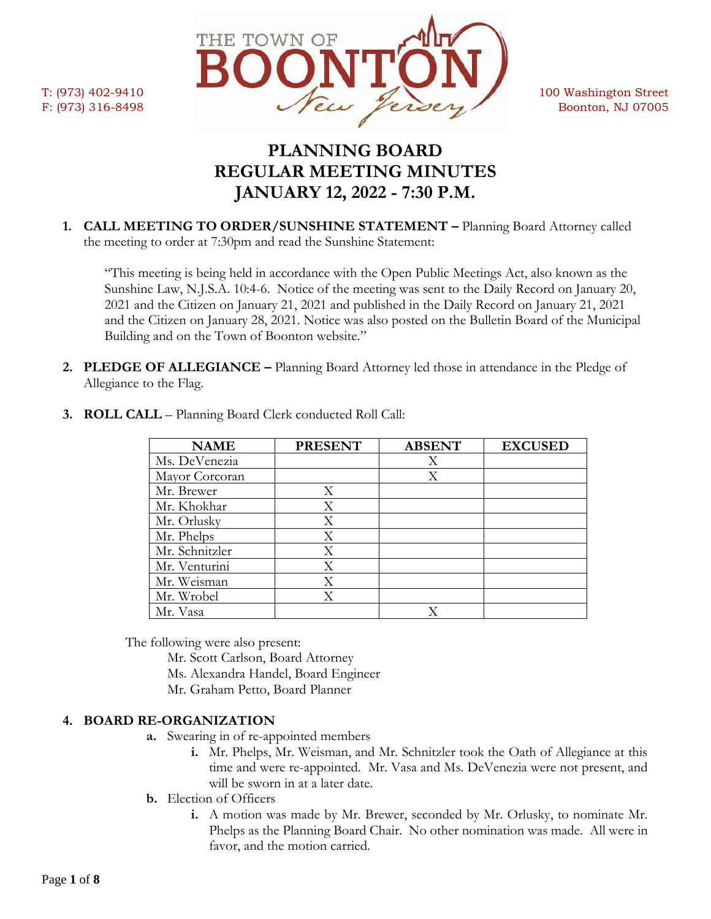

# **PLANNING BOARD REGULAR MEETING MINUTES JANUARY 12, 2022 - 7:30 P.M.**

**1. CALL MEETING TO ORDER/SUNSHINE STATEMENT –** Planning Board Attorney called the meeting to order at 7:30pm and read the Sunshine Statement:

"This meeting is being held in accordance with the Open Public Meetings Act, also known as the Sunshine Law, N.J.S.A. 10:4-6. Notice of the meeting was sent to the Daily Record on January 20, 2021 and the Citizen on January 21, 2021 and published in the Daily Record on January 21, 2021 and the Citizen on January 28, 2021. Notice was also posted on the Bulletin Board of the Municipal Building and on the Town of Boonton website."

**2. PLEDGE OF ALLEGIANCE –** Planning Board Attorney led those in attendance in the Pledge of Allegiance to the Flag.

| <b>NAME</b>    | <b>PRESENT</b> | <b>ABSENT</b> | <b>EXCUSED</b> |
|----------------|----------------|---------------|----------------|
| Ms. DeVenezia  |                | X             |                |
| Mayor Corcoran |                | Χ             |                |
| Mr. Brewer     | X              |               |                |
| Mr. Khokhar    | Χ              |               |                |
| Mr. Orlusky    | X              |               |                |
| Mr. Phelps     | Χ              |               |                |
| Mr. Schnitzler | X              |               |                |
| Mr. Venturini  | Χ              |               |                |
| Mr. Weisman    | Χ              |               |                |
| Mr. Wrobel     | X              |               |                |
| Mr. Vasa       |                | Х             |                |

**3. ROLL CALL** – Planning Board Clerk conducted Roll Call:

The following were also present:

- Mr. Scott Carlson, Board Attorney
- Ms. Alexandra Handel, Board Engineer
- Mr. Graham Petto, Board Planner

### **4. BOARD RE-ORGANIZATION**

- **a.** Swearing in of re-appointed members
	- **i.** Mr. Phelps, Mr. Weisman, and Mr. Schnitzler took the Oath of Allegiance at this time and were re-appointed. Mr. Vasa and Ms. DeVenezia were not present, and will be sworn in at a later date.
- **b.** Election of Officers
	- **i.** A motion was made by Mr. Brewer, seconded by Mr. Orlusky, to nominate Mr. Phelps as the Planning Board Chair. No other nomination was made. All were in favor, and the motion carried.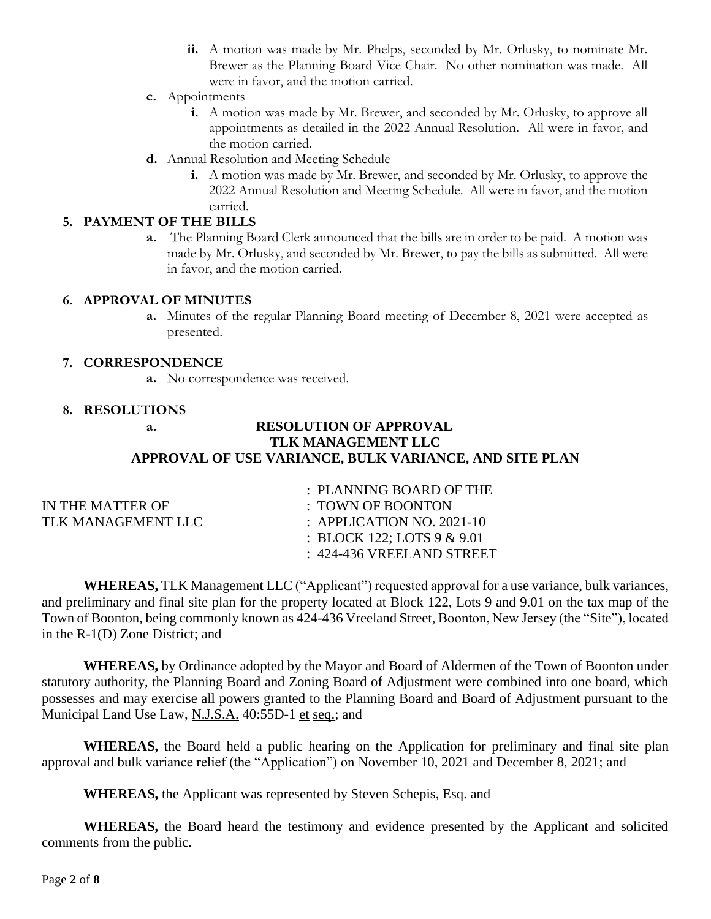- **ii.** A motion was made by Mr. Phelps, seconded by Mr. Orlusky, to nominate Mr. Brewer as the Planning Board Vice Chair. No other nomination was made. All were in favor, and the motion carried.
- **c.** Appointments
	- **i.** A motion was made by Mr. Brewer, and seconded by Mr. Orlusky, to approve all appointments as detailed in the 2022 Annual Resolution. All were in favor, and the motion carried.
- **d.** Annual Resolution and Meeting Schedule
	- **i.** A motion was made by Mr. Brewer, and seconded by Mr. Orlusky, to approve the 2022 Annual Resolution and Meeting Schedule. All were in favor, and the motion carried.

### **5. PAYMENT OF THE BILLS**

**a.** The Planning Board Clerk announced that the bills are in order to be paid. A motion was made by Mr. Orlusky, and seconded by Mr. Brewer, to pay the bills as submitted. All were in favor, and the motion carried.

### **6. APPROVAL OF MINUTES**

**a.** Minutes of the regular Planning Board meeting of December 8, 2021 were accepted as presented.

### **7. CORRESPONDENCE**

**a.** No correspondence was received.

### **8. RESOLUTIONS**

### **a. RESOLUTION OF APPROVAL TLK MANAGEMENT LLC APPROVAL OF USE VARIANCE, BULK VARIANCE, AND SITE PLAN**

|                    | : PLANNING BOARD OF THE       |
|--------------------|-------------------------------|
| IN THE MATTER OF   | $\pm$ TOWN OF BOONTON         |
| TLK MANAGEMENT LLC | : APPLICATION NO. $2021-10$   |
|                    | : BLOCK 122; LOTS $9 & 9.01$  |
|                    | $\pm$ 424-436 VREELAND STREET |

**WHEREAS,** TLK Management LLC ("Applicant") requested approval for a use variance, bulk variances, and preliminary and final site plan for the property located at Block 122, Lots 9 and 9.01 on the tax map of the Town of Boonton, being commonly known as 424-436 Vreeland Street, Boonton, New Jersey (the "Site"), located in the R-1(D) Zone District; and

**WHEREAS,** by Ordinance adopted by the Mayor and Board of Aldermen of the Town of Boonton under statutory authority, the Planning Board and Zoning Board of Adjustment were combined into one board, which possesses and may exercise all powers granted to the Planning Board and Board of Adjustment pursuant to the Municipal Land Use Law, N.J.S.A. 40:55D-1 et seq.; and

**WHEREAS,** the Board held a public hearing on the Application for preliminary and final site plan approval and bulk variance relief (the "Application") on November 10, 2021 and December 8, 2021; and

**WHEREAS,** the Applicant was represented by Steven Schepis, Esq. and

**WHEREAS,** the Board heard the testimony and evidence presented by the Applicant and solicited comments from the public.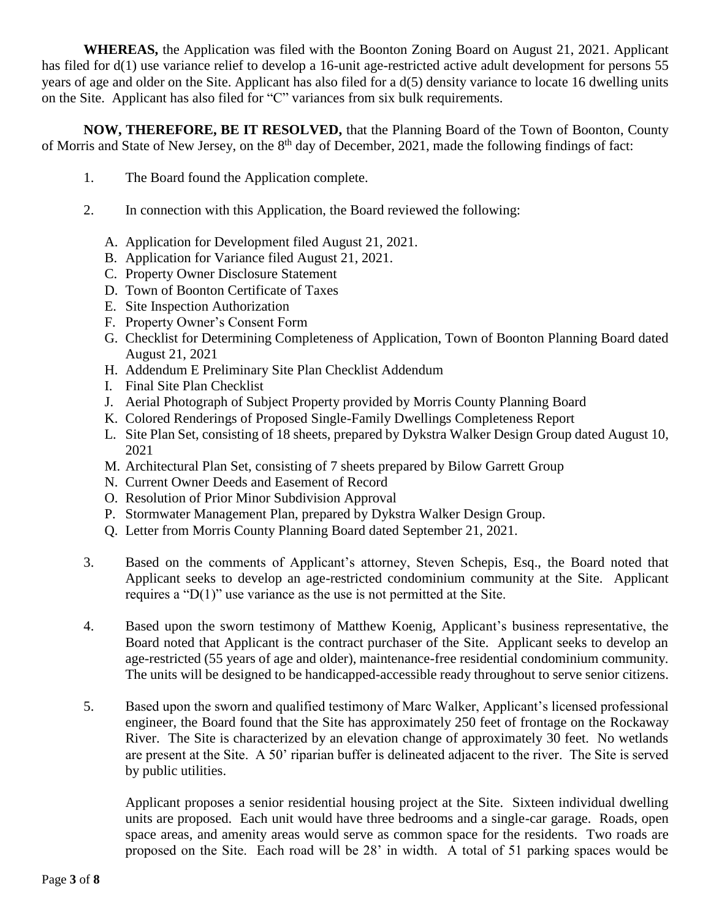**WHEREAS,** the Application was filed with the Boonton Zoning Board on August 21, 2021. Applicant has filed for d(1) use variance relief to develop a 16-unit age-restricted active adult development for persons 55 years of age and older on the Site. Applicant has also filed for a d(5) density variance to locate 16 dwelling units on the Site. Applicant has also filed for "C" variances from six bulk requirements.

**NOW, THEREFORE, BE IT RESOLVED,** that the Planning Board of the Town of Boonton, County of Morris and State of New Jersey, on the 8<sup>th</sup> day of December, 2021, made the following findings of fact:

- 1. The Board found the Application complete.
- 2. In connection with this Application, the Board reviewed the following:
	- A. Application for Development filed August 21, 2021.
	- B. Application for Variance filed August 21, 2021.
	- C. Property Owner Disclosure Statement
	- D. Town of Boonton Certificate of Taxes
	- E. Site Inspection Authorization
	- F. Property Owner's Consent Form
	- G. Checklist for Determining Completeness of Application, Town of Boonton Planning Board dated August 21, 2021
	- H. Addendum E Preliminary Site Plan Checklist Addendum
	- I. Final Site Plan Checklist
	- J. Aerial Photograph of Subject Property provided by Morris County Planning Board
	- K. Colored Renderings of Proposed Single-Family Dwellings Completeness Report
	- L. Site Plan Set, consisting of 18 sheets, prepared by Dykstra Walker Design Group dated August 10, 2021
	- M. Architectural Plan Set, consisting of 7 sheets prepared by Bilow Garrett Group
	- N. Current Owner Deeds and Easement of Record
	- O. Resolution of Prior Minor Subdivision Approval
	- P. Stormwater Management Plan, prepared by Dykstra Walker Design Group.
	- Q. Letter from Morris County Planning Board dated September 21, 2021.
- 3. Based on the comments of Applicant's attorney, Steven Schepis, Esq., the Board noted that Applicant seeks to develop an age-restricted condominium community at the Site. Applicant requires a "D(1)" use variance as the use is not permitted at the Site.
- 4. Based upon the sworn testimony of Matthew Koenig, Applicant's business representative, the Board noted that Applicant is the contract purchaser of the Site. Applicant seeks to develop an age-restricted (55 years of age and older), maintenance-free residential condominium community. The units will be designed to be handicapped-accessible ready throughout to serve senior citizens.
- 5. Based upon the sworn and qualified testimony of Marc Walker, Applicant's licensed professional engineer, the Board found that the Site has approximately 250 feet of frontage on the Rockaway River. The Site is characterized by an elevation change of approximately 30 feet. No wetlands are present at the Site. A 50' riparian buffer is delineated adjacent to the river. The Site is served by public utilities.

Applicant proposes a senior residential housing project at the Site. Sixteen individual dwelling units are proposed. Each unit would have three bedrooms and a single-car garage. Roads, open space areas, and amenity areas would serve as common space for the residents. Two roads are proposed on the Site. Each road will be 28' in width. A total of 51 parking spaces would be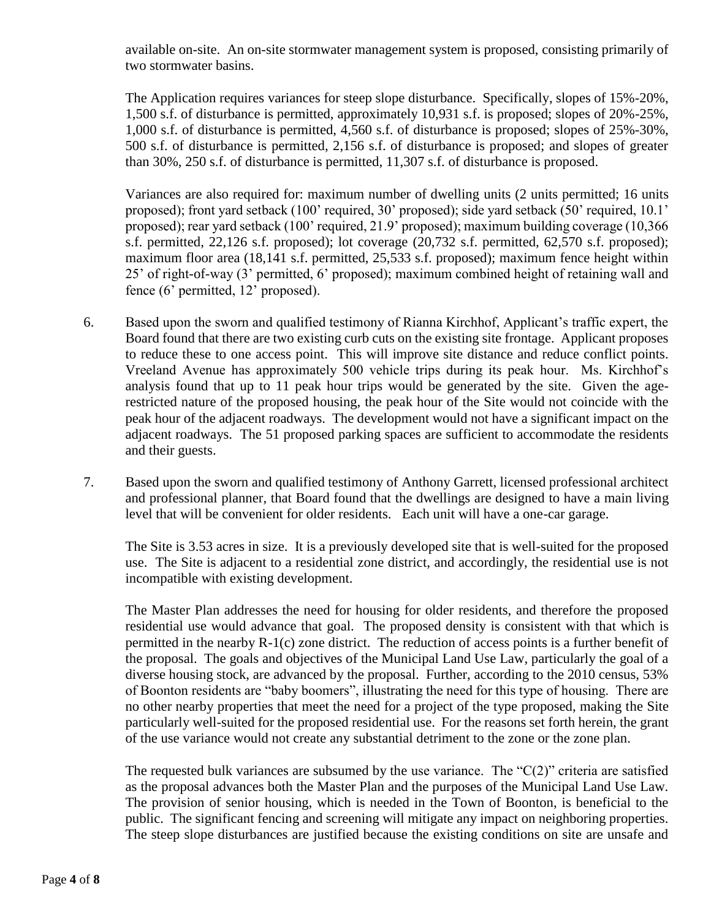available on-site. An on-site stormwater management system is proposed, consisting primarily of two stormwater basins.

The Application requires variances for steep slope disturbance. Specifically, slopes of 15%-20%, 1,500 s.f. of disturbance is permitted, approximately 10,931 s.f. is proposed; slopes of 20%-25%, 1,000 s.f. of disturbance is permitted, 4,560 s.f. of disturbance is proposed; slopes of 25%-30%, 500 s.f. of disturbance is permitted, 2,156 s.f. of disturbance is proposed; and slopes of greater than 30%, 250 s.f. of disturbance is permitted, 11,307 s.f. of disturbance is proposed.

Variances are also required for: maximum number of dwelling units (2 units permitted; 16 units proposed); front yard setback (100' required, 30' proposed); side yard setback (50' required, 10.1' proposed); rear yard setback (100' required, 21.9' proposed); maximum building coverage (10,366 s.f. permitted, 22,126 s.f. proposed); lot coverage (20,732 s.f. permitted, 62,570 s.f. proposed); maximum floor area (18,141 s.f. permitted, 25,533 s.f. proposed); maximum fence height within 25' of right-of-way (3' permitted, 6' proposed); maximum combined height of retaining wall and fence (6' permitted, 12' proposed).

- 6. Based upon the sworn and qualified testimony of Rianna Kirchhof, Applicant's traffic expert, the Board found that there are two existing curb cuts on the existing site frontage. Applicant proposes to reduce these to one access point. This will improve site distance and reduce conflict points. Vreeland Avenue has approximately 500 vehicle trips during its peak hour. Ms. Kirchhof's analysis found that up to 11 peak hour trips would be generated by the site. Given the agerestricted nature of the proposed housing, the peak hour of the Site would not coincide with the peak hour of the adjacent roadways. The development would not have a significant impact on the adjacent roadways. The 51 proposed parking spaces are sufficient to accommodate the residents and their guests.
- 7. Based upon the sworn and qualified testimony of Anthony Garrett, licensed professional architect and professional planner, that Board found that the dwellings are designed to have a main living level that will be convenient for older residents. Each unit will have a one-car garage.

The Site is 3.53 acres in size. It is a previously developed site that is well-suited for the proposed use. The Site is adjacent to a residential zone district, and accordingly, the residential use is not incompatible with existing development.

The Master Plan addresses the need for housing for older residents, and therefore the proposed residential use would advance that goal. The proposed density is consistent with that which is permitted in the nearby R-1(c) zone district. The reduction of access points is a further benefit of the proposal. The goals and objectives of the Municipal Land Use Law, particularly the goal of a diverse housing stock, are advanced by the proposal. Further, according to the 2010 census, 53% of Boonton residents are "baby boomers", illustrating the need for this type of housing. There are no other nearby properties that meet the need for a project of the type proposed, making the Site particularly well-suited for the proposed residential use. For the reasons set forth herein, the grant of the use variance would not create any substantial detriment to the zone or the zone plan.

The requested bulk variances are subsumed by the use variance. The " $C(2)$ " criteria are satisfied as the proposal advances both the Master Plan and the purposes of the Municipal Land Use Law. The provision of senior housing, which is needed in the Town of Boonton, is beneficial to the public. The significant fencing and screening will mitigate any impact on neighboring properties. The steep slope disturbances are justified because the existing conditions on site are unsafe and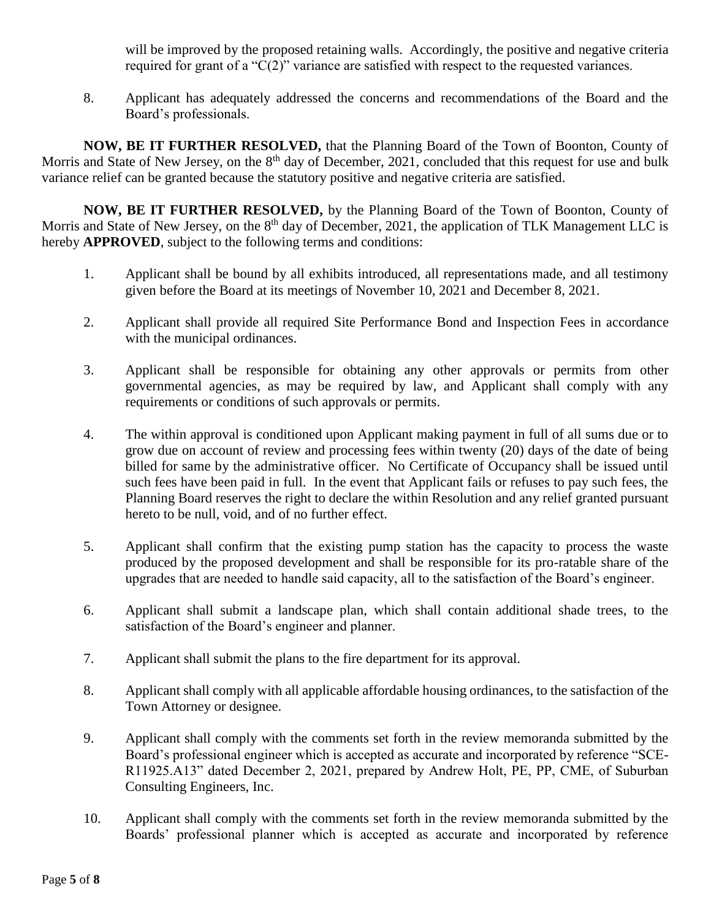will be improved by the proposed retaining walls. Accordingly, the positive and negative criteria required for grant of a "C(2)" variance are satisfied with respect to the requested variances.

8. Applicant has adequately addressed the concerns and recommendations of the Board and the Board's professionals.

**NOW, BE IT FURTHER RESOLVED,** that the Planning Board of the Town of Boonton, County of Morris and State of New Jersey, on the 8<sup>th</sup> day of December, 2021, concluded that this request for use and bulk variance relief can be granted because the statutory positive and negative criteria are satisfied.

**NOW, BE IT FURTHER RESOLVED,** by the Planning Board of the Town of Boonton, County of Morris and State of New Jersey, on the 8<sup>th</sup> day of December, 2021, the application of TLK Management LLC is hereby **APPROVED**, subject to the following terms and conditions:

- 1. Applicant shall be bound by all exhibits introduced, all representations made, and all testimony given before the Board at its meetings of November 10, 2021 and December 8, 2021.
- 2. Applicant shall provide all required Site Performance Bond and Inspection Fees in accordance with the municipal ordinances.
- 3. Applicant shall be responsible for obtaining any other approvals or permits from other governmental agencies, as may be required by law, and Applicant shall comply with any requirements or conditions of such approvals or permits.
- 4. The within approval is conditioned upon Applicant making payment in full of all sums due or to grow due on account of review and processing fees within twenty (20) days of the date of being billed for same by the administrative officer. No Certificate of Occupancy shall be issued until such fees have been paid in full. In the event that Applicant fails or refuses to pay such fees, the Planning Board reserves the right to declare the within Resolution and any relief granted pursuant hereto to be null, void, and of no further effect.
- 5. Applicant shall confirm that the existing pump station has the capacity to process the waste produced by the proposed development and shall be responsible for its pro-ratable share of the upgrades that are needed to handle said capacity, all to the satisfaction of the Board's engineer.
- 6. Applicant shall submit a landscape plan, which shall contain additional shade trees, to the satisfaction of the Board's engineer and planner.
- 7. Applicant shall submit the plans to the fire department for its approval.
- 8. Applicant shall comply with all applicable affordable housing ordinances, to the satisfaction of the Town Attorney or designee.
- 9. Applicant shall comply with the comments set forth in the review memoranda submitted by the Board's professional engineer which is accepted as accurate and incorporated by reference "SCE-R11925.A13" dated December 2, 2021, prepared by Andrew Holt, PE, PP, CME, of Suburban Consulting Engineers, Inc.
- 10. Applicant shall comply with the comments set forth in the review memoranda submitted by the Boards' professional planner which is accepted as accurate and incorporated by reference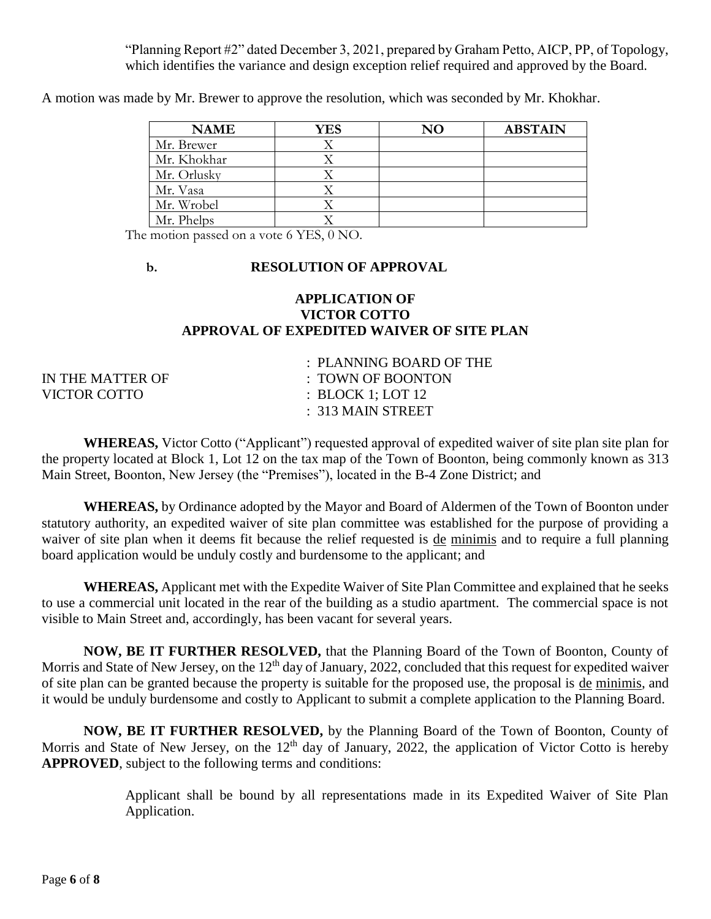"Planning Report #2" dated December 3, 2021, prepared by Graham Petto, AICP, PP, of Topology, which identifies the variance and design exception relief required and approved by the Board.

A motion was made by Mr. Brewer to approve the resolution, which was seconded by Mr. Khokhar.

| <b>NAME</b> | YES | NΟ | <b>ABSTAIN</b> |
|-------------|-----|----|----------------|
| Mr. Brewer  |     |    |                |
| Mr. Khokhar |     |    |                |
| Mr. Orlusky |     |    |                |
| Mr. Vasa    |     |    |                |
| Mr. Wrobel  |     |    |                |
| Mr. Phelps  |     |    |                |

The motion passed on a vote 6 YES, 0 NO.

### **b. RESOLUTION OF APPROVAL**

### **APPLICATION OF VICTOR COTTO APPROVAL OF EXPEDITED WAIVER OF SITE PLAN**

|                  | $\therefore$ PLANNING BOARD OF THE |
|------------------|------------------------------------|
| IN THE MATTER OF | $\pm$ TOWN OF BOONTON              |
| VICTOR COTTO     | $\therefore$ BLOCK 1; LOT 12       |
|                  | $\pm$ 313 MAIN STREET              |
|                  |                                    |

**WHEREAS,** Victor Cotto ("Applicant") requested approval of expedited waiver of site plan site plan for the property located at Block 1, Lot 12 on the tax map of the Town of Boonton, being commonly known as 313 Main Street, Boonton, New Jersey (the "Premises"), located in the B-4 Zone District; and

**WHEREAS,** by Ordinance adopted by the Mayor and Board of Aldermen of the Town of Boonton under statutory authority, an expedited waiver of site plan committee was established for the purpose of providing a waiver of site plan when it deems fit because the relief requested is de minimis and to require a full planning board application would be unduly costly and burdensome to the applicant; and

**WHEREAS,** Applicant met with the Expedite Waiver of Site Plan Committee and explained that he seeks to use a commercial unit located in the rear of the building as a studio apartment. The commercial space is not visible to Main Street and, accordingly, has been vacant for several years.

**NOW, BE IT FURTHER RESOLVED,** that the Planning Board of the Town of Boonton, County of Morris and State of New Jersey, on the  $12<sup>th</sup>$  day of January, 2022, concluded that this request for expedited waiver of site plan can be granted because the property is suitable for the proposed use, the proposal is de minimis, and it would be unduly burdensome and costly to Applicant to submit a complete application to the Planning Board.

**NOW, BE IT FURTHER RESOLVED,** by the Planning Board of the Town of Boonton, County of Morris and State of New Jersey, on the  $12<sup>th</sup>$  day of January, 2022, the application of Victor Cotto is hereby **APPROVED**, subject to the following terms and conditions:

> Applicant shall be bound by all representations made in its Expedited Waiver of Site Plan Application.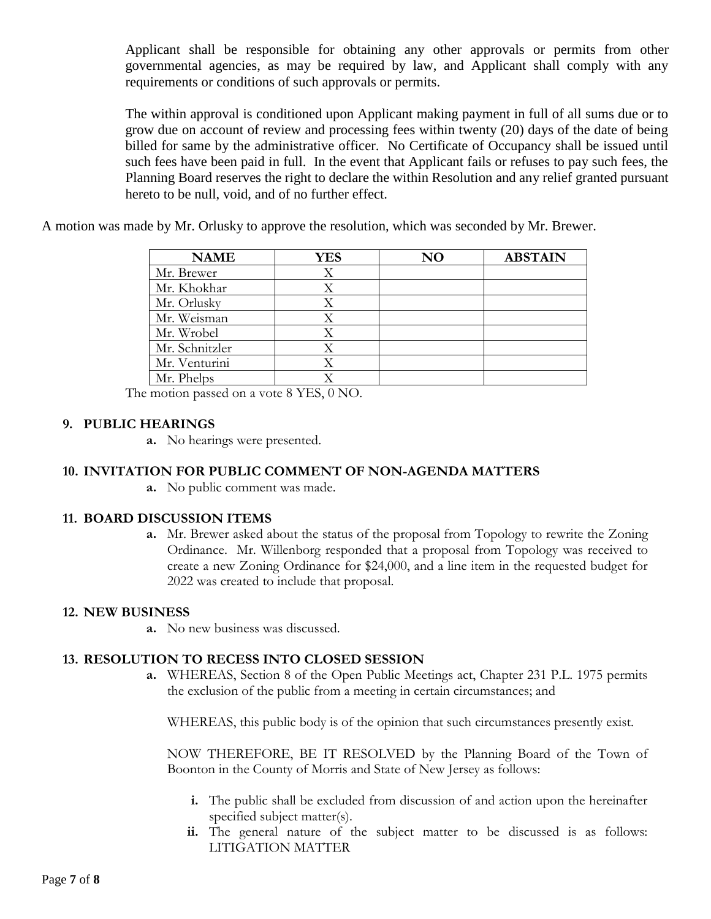Applicant shall be responsible for obtaining any other approvals or permits from other governmental agencies, as may be required by law, and Applicant shall comply with any requirements or conditions of such approvals or permits.

The within approval is conditioned upon Applicant making payment in full of all sums due or to grow due on account of review and processing fees within twenty (20) days of the date of being billed for same by the administrative officer. No Certificate of Occupancy shall be issued until such fees have been paid in full. In the event that Applicant fails or refuses to pay such fees, the Planning Board reserves the right to declare the within Resolution and any relief granted pursuant hereto to be null, void, and of no further effect.

A motion was made by Mr. Orlusky to approve the resolution, which was seconded by Mr. Brewer.

| <b>NAME</b>    | YES | $\bf NO$ | <b>ABSTAIN</b> |
|----------------|-----|----------|----------------|
| Mr. Brewer     | Χ   |          |                |
| Mr. Khokhar    |     |          |                |
| Mr. Orlusky    |     |          |                |
| Mr. Weisman    |     |          |                |
| Mr. Wrobel     |     |          |                |
| Mr. Schnitzler |     |          |                |
| Mr. Venturini  |     |          |                |
| Mr. Phelps     |     |          |                |

The motion passed on a vote 8 YES, 0 NO.

## **9. PUBLIC HEARINGS**

**a.** No hearings were presented.

## **10. INVITATION FOR PUBLIC COMMENT OF NON-AGENDA MATTERS**

**a.** No public comment was made.

### **11. BOARD DISCUSSION ITEMS**

**a.** Mr. Brewer asked about the status of the proposal from Topology to rewrite the Zoning Ordinance. Mr. Willenborg responded that a proposal from Topology was received to create a new Zoning Ordinance for \$24,000, and a line item in the requested budget for 2022 was created to include that proposal.

### **12. NEW BUSINESS**

**a.** No new business was discussed.

### **13. RESOLUTION TO RECESS INTO CLOSED SESSION**

**a.** WHEREAS, Section 8 of the Open Public Meetings act, Chapter 231 P.L. 1975 permits the exclusion of the public from a meeting in certain circumstances; and

WHEREAS, this public body is of the opinion that such circumstances presently exist.

NOW THEREFORE, BE IT RESOLVED by the Planning Board of the Town of Boonton in the County of Morris and State of New Jersey as follows:

- **i.** The public shall be excluded from discussion of and action upon the hereinafter specified subject matter(s).
- **ii.** The general nature of the subject matter to be discussed is as follows: LITIGATION MATTER